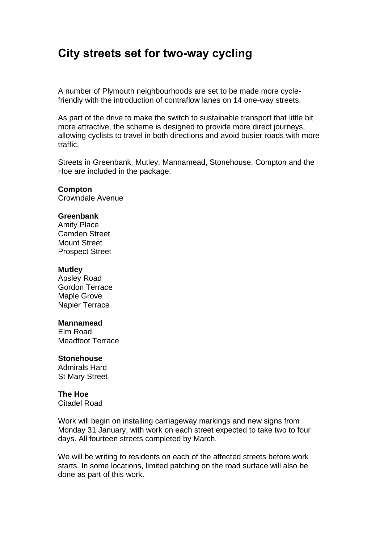# **City streets set for two-way cycling**

A number of Plymouth neighbourhoods are set to be made more cyclefriendly with the introduction of contraflow lanes on 14 one-way streets.

As part of the drive to make the switch to sustainable transport that little bit more attractive, the scheme is designed to provide more direct journeys, allowing cyclists to travel in both directions and avoid busier roads with more traffic.

Streets in Greenbank, Mutley, Mannamead, Stonehouse, Compton and the Hoe are included in the package.

## **Compton**

Crowndale Avenue

## **Greenbank**

Amity Place Camden Street Mount Street Prospect Street

#### **Mutley**

Apsley Road Gordon Terrace Maple Grove Napier Terrace

### **Mannamead**

Elm Road Meadfoot Terrace

## **Stonehouse**

Admirals Hard St Mary Street

#### **The Hoe**

Citadel Road

Work will begin on installing carriageway markings and new signs from Monday 31 January, with work on each street expected to take two to four days. All fourteen streets completed by March.

We will be writing to residents on each of the affected streets before work starts. In some locations, limited patching on the road surface will also be done as part of this work.